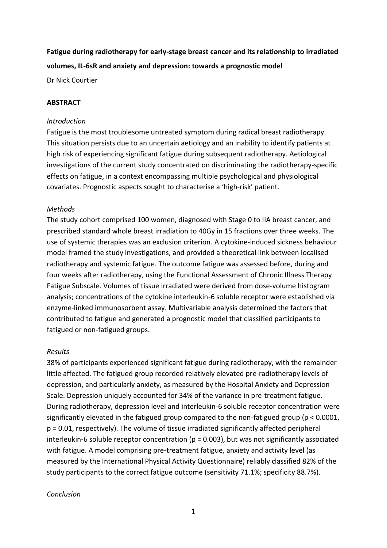# **Fatigue during radiotherapy for early-stage breast cancer and its relationship to irradiated volumes, IL-6sR and anxiety and depression: towards a prognostic model**

Dr Nick Courtier

## **ABSTRACT**

### *Introduction*

Fatigue is the most troublesome untreated symptom during radical breast radiotherapy. This situation persists due to an uncertain aetiology and an inability to identify patients at high risk of experiencing significant fatigue during subsequent radiotherapy. Aetiological investigations of the current study concentrated on discriminating the radiotherapy-specific effects on fatigue, in a context encompassing multiple psychological and physiological covariates. Prognostic aspects sought to characterise a 'high-risk' patient.

### *Methods*

The study cohort comprised 100 women, diagnosed with Stage 0 to IIA breast cancer, and prescribed standard whole breast irradiation to 40Gy in 15 fractions over three weeks. The use of systemic therapies was an exclusion criterion. A cytokine-induced sickness behaviour model framed the study investigations, and provided a theoretical link between localised radiotherapy and systemic fatigue. The outcome fatigue was assessed before, during and four weeks after radiotherapy, using the Functional Assessment of Chronic Illness Therapy Fatigue Subscale. Volumes of tissue irradiated were derived from dose-volume histogram analysis; concentrations of the cytokine interleukin-6 soluble receptor were established via enzyme-linked immunosorbent assay. Multivariable analysis determined the factors that contributed to fatigue and generated a prognostic model that classified participants to fatigued or non-fatigued groups.

### *Results*

38% of participants experienced significant fatigue during radiotherapy, with the remainder little affected. The fatigued group recorded relatively elevated pre-radiotherapy levels of depression, and particularly anxiety, as measured by the Hospital Anxiety and Depression Scale. Depression uniquely accounted for 34% of the variance in pre-treatment fatigue. During radiotherapy, depression level and interleukin-6 soluble receptor concentration were significantly elevated in the fatigued group compared to the non-fatigued group (p < 0.0001, p = 0.01, respectively). The volume of tissue irradiated significantly affected peripheral interleukin-6 soluble receptor concentration (p = 0.003), but was not significantly associated with fatigue. A model comprising pre-treatment fatigue, anxiety and activity level (as measured by the International Physical Activity Questionnaire) reliably classified 82% of the study participants to the correct fatigue outcome (sensitivity 71.1%; specificity 88.7%).

### *Conclusion*